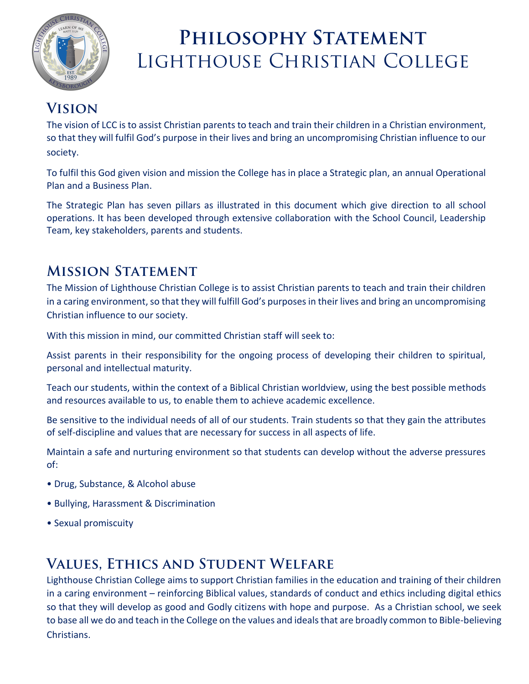

# **Philosophy Statement**  Lighthouse Christian College

### **Vision**

The vision of LCC is to assist Christian parents to teach and train their children in a Christian environment, so that they will fulfil God's purpose in their lives and bring an uncompromising Christian influence to our society.

To fulfil this God given vision and mission the College has in place a Strategic plan, an annual Operational Plan and a Business Plan.

The Strategic Plan has seven pillars as illustrated in this document which give direction to all school operations. It has been developed through extensive collaboration with the School Council, Leadership Team, key stakeholders, parents and students.

### **Mission Statement**

The Mission of Lighthouse Christian College is to assist Christian parents to teach and train their children in a caring environment, so that they will fulfill God's purposes in their lives and bring an uncompromising Christian influence to our society.

With this mission in mind, our committed Christian staff will seek to:

Assist parents in their responsibility for the ongoing process of developing their children to spiritual, personal and intellectual maturity.

Teach our students, within the context of a Biblical Christian worldview, using the best possible methods and resources available to us, to enable them to achieve academic excellence.

Be sensitive to the individual needs of all of our students. Train students so that they gain the attributes of self-discipline and values that are necessary for success in all aspects of life.

Maintain a safe and nurturing environment so that students can develop without the adverse pressures of:

- Drug, Substance, & Alcohol abuse
- Bullying, Harassment & Discrimination
- Sexual promiscuity

## **Values, Ethics and Student Welfare**

Lighthouse Christian College aims to support Christian families in the education and training of their children in a caring environment – reinforcing Biblical values, standards of conduct and ethics including digital ethics so that they will develop as good and Godly citizens with hope and purpose. As a Christian school, we seek to base all we do and teach in the College on the values and ideals that are broadly common to Bible-believing Christians.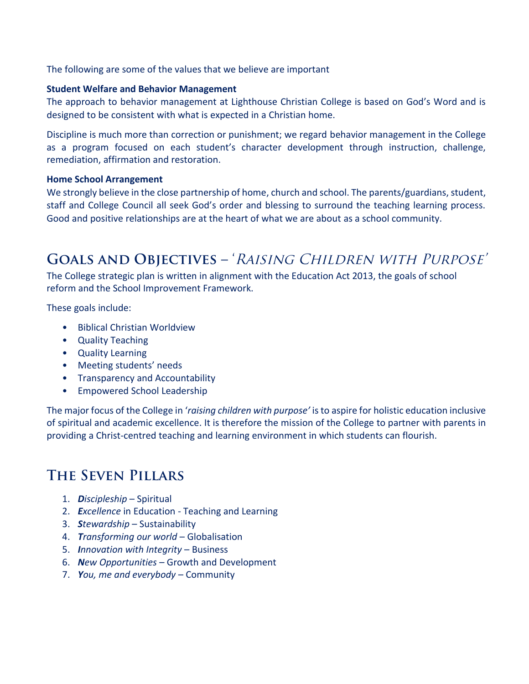The following are some of the values that we believe are important

#### **Student Welfare and Behavior Management**

The approach to behavior management at Lighthouse Christian College is based on God's Word and is designed to be consistent with what is expected in a Christian home.

Discipline is much more than correction or punishment; we regard behavior management in the College as a program focused on each student's character development through instruction, challenge, remediation, affirmation and restoration.

#### **Home School Arrangement**

We strongly believe in the close partnership of home, church and school. The parents/guardians, student, staff and College Council all seek God's order and blessing to surround the teaching learning process. Good and positive relationships are at the heart of what we are about as a school community.

### GOALS AND OBJECTIVES - 'RAISING CHILDREN WITH PURPOSE'

The College strategic plan is written in alignment with the Education Act 2013, the goals of school reform and the School Improvement Framework.

These goals include:

- Biblical Christian Worldview
- Quality Teaching
- Quality Learning
- Meeting students' needs
- Transparency and Accountability
- Empowered School Leadership

The major focus of the College in '*raising children with purpose'* is to aspire for holistic education inclusive of spiritual and academic excellence. It is therefore the mission of the College to partner with parents in providing a Christ-centred teaching and learning environment in which students can flourish.

#### **The Seven Pillars**

- 1. *Discipleship*  Spiritual
- 2. *Excellence* in Education Teaching and Learning
- 3. *Stewardship* Sustainability
- 4. *Transforming our world* Globalisation
- 5. *Innovation with Integrity* Business
- 6. *New Opportunities* Growth and Development
- 7. *You, me and everybody* Community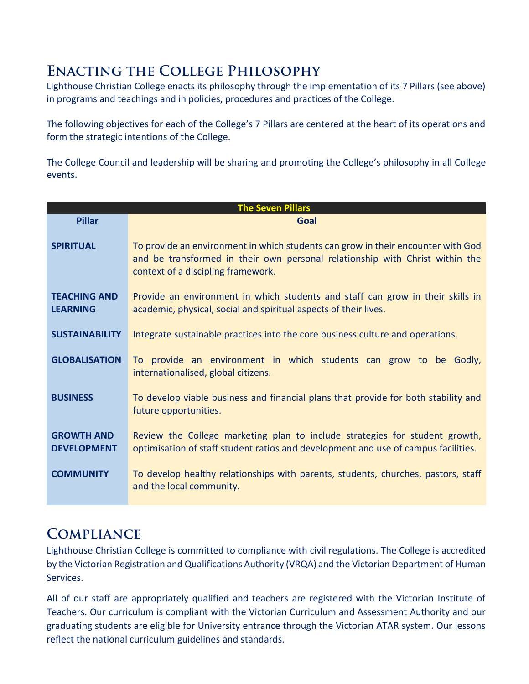#### **Enacting the College Philosophy**

Lighthouse Christian College enacts its philosophy through the implementation of its 7 Pillars (see above) in programs and teachings and in policies, procedures and practices of the College.

The following objectives for each of the College's 7 Pillars are centered at the heart of its operations and form the strategic intentions of the College.

The College Council and leadership will be sharing and promoting the College's philosophy in all College events.

| <b>The Seven Pillars</b>                |                                                                                                                                                                                                        |
|-----------------------------------------|--------------------------------------------------------------------------------------------------------------------------------------------------------------------------------------------------------|
| <b>Pillar</b>                           | Goal                                                                                                                                                                                                   |
| <b>SPIRITUAL</b>                        | To provide an environment in which students can grow in their encounter with God<br>and be transformed in their own personal relationship with Christ within the<br>context of a discipling framework. |
| <b>TEACHING AND</b><br><b>LEARNING</b>  | Provide an environment in which students and staff can grow in their skills in<br>academic, physical, social and spiritual aspects of their lives.                                                     |
| <b>SUSTAINABILITY</b>                   | Integrate sustainable practices into the core business culture and operations.                                                                                                                         |
| <b>GLOBALISATION</b>                    | To provide an environment in which students can grow to be Godly,<br>internationalised, global citizens.                                                                                               |
| <b>BUSINESS</b>                         | To develop viable business and financial plans that provide for both stability and<br>future opportunities.                                                                                            |
| <b>GROWTH AND</b><br><b>DEVELOPMENT</b> | Review the College marketing plan to include strategies for student growth,<br>optimisation of staff student ratios and development and use of campus facilities.                                      |
| <b>COMMUNITY</b>                        | To develop healthy relationships with parents, students, churches, pastors, staff<br>and the local community.                                                                                          |

#### **Compliance**

Lighthouse Christian College is committed to compliance with civil regulations. The College is accredited by the Victorian Registration and Qualifications Authority (VRQA) and the Victorian Department of Human Services.

All of our staff are appropriately qualified and teachers are registered with the Victorian Institute of Teachers. Our curriculum is compliant with the Victorian Curriculum and Assessment Authority and our graduating students are eligible for University entrance through the Victorian ATAR system. Our lessons reflect the national curriculum guidelines and standards.